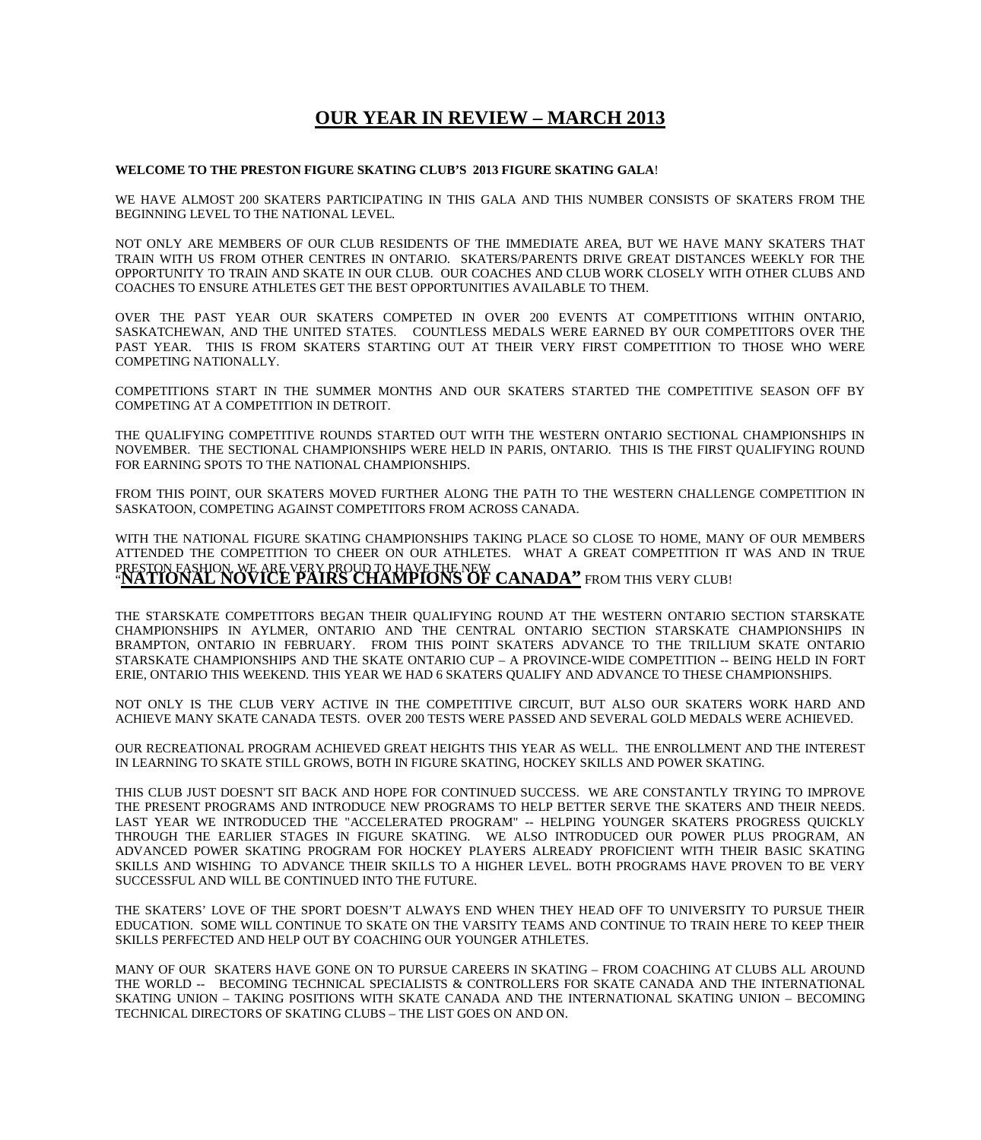## **OUR YEAR IN REVIEW – MARCH 2013**

## **WELCOME TO THE PRESTON FIGURE SKATING CLUB'S 2013 FIGURE SKATING GALA**!

WE HAVE ALMOST 200 SKATERS PARTICIPATING IN THIS GALA AND THIS NUMBER CONSISTS OF SKATERS FROM THE BEGINNING LEVEL TO THE NATIONAL LEVEL.

NOT ONLY ARE MEMBERS OF OUR CLUB RESIDENTS OF THE IMMEDIATE AREA, BUT WE HAVE MANY SKATERS THAT TRAIN WITH US FROM OTHER CENTRES IN ONTARIO. SKATERS/PARENTS DRIVE GREAT DISTANCES WEEKLY FOR THE OPPORTUNITY TO TRAIN AND SKATE IN OUR CLUB. OUR COACHES AND CLUB WORK CLOSELY WITH OTHER CLUBS AND COACHES TO ENSURE ATHLETES GET THE BEST OPPORTUNITIES AVAILABLE TO THEM.

OVER THE PAST YEAR OUR SKATERS COMPETED IN OVER 200 EVENTS AT COMPETITIONS WITHIN ONTARIO, SASKATCHEWAN, AND THE UNITED STATES. COUNTLESS MEDALS WERE EARNED BY OUR COMPETITORS OVER THE PAST YEAR. THIS IS FROM SKATERS STARTING OUT AT THEIR VERY FIRST COMPETITION TO THOSE WHO WERE COMPETING NATIONALLY.

COMPETITIONS START IN THE SUMMER MONTHS AND OUR SKATERS STARTED THE COMPETITIVE SEASON OFF BY COMPETING AT A COMPETITION IN DETROIT.

THE QUALIFYING COMPETITIVE ROUNDS STARTED OUT WITH THE WESTERN ONTARIO SECTIONAL CHAMPIONSHIPS IN NOVEMBER. THE SECTIONAL CHAMPIONSHIPS WERE HELD IN PARIS, ONTARIO. THIS IS THE FIRST QUALIFYING ROUND FOR EARNING SPOTS TO THE NATIONAL CHAMPIONSHIPS.

FROM THIS POINT, OUR SKATERS MOVED FURTHER ALONG THE PATH TO THE WESTERN CHALLENGE COMPETITION IN SASKATOON, COMPETING AGAINST COMPETITORS FROM ACROSS CANADA.

WITH THE NATIONAL FIGURE SKATING CHAMPIONSHIPS TAKING PLACE SO CLOSE TO HOME, MANY OF OUR MEMBERS ATTENDED THE COMPETITION TO CHEER ON OUR ATHLETES. WHAT A GREAT COMPETITION IT WAS AND IN TRUE PRESTON FASHION, WE ARE VERY PROUD TO HAVE THE NEW **CANADA"** FROM THIS VERY CLUB!<br>"**NATIONAL NOVICE PAIRS CHAMPIONS OF CANADA"** FROM THIS VERY CLUB!

THE STARSKATE COMPETITORS BEGAN THEIR QUALIFYING ROUND AT THE WESTERN ONTARIO SECTION STARSKATE CHAMPIONSHIPS IN AYLMER, ONTARIO AND THE CENTRAL ONTARIO SECTION STARSKATE CHAMPIONSHIPS IN BRAMPTON, ONTARIO IN FEBRUARY. FROM THIS POINT SKATERS ADVANCE TO THE TRILLIUM SKATE ONTARIO STARSKATE CHAMPIONSHIPS AND THE SKATE ONTARIO CUP – A PROVINCE-WIDE COMPETITION -- BEING HELD IN FORT ERIE, ONTARIO THIS WEEKEND. THIS YEAR WE HAD 6 SKATERS QUALIFY AND ADVANCE TO THESE CHAMPIONSHIPS.

NOT ONLY IS THE CLUB VERY ACTIVE IN THE COMPETITIVE CIRCUIT, BUT ALSO OUR SKATERS WORK HARD AND ACHIEVE MANY SKATE CANADA TESTS. OVER 200 TESTS WERE PASSED AND SEVERAL GOLD MEDALS WERE ACHIEVED.

OUR RECREATIONAL PROGRAM ACHIEVED GREAT HEIGHTS THIS YEAR AS WELL. THE ENROLLMENT AND THE INTEREST IN LEARNING TO SKATE STILL GROWS, BOTH IN FIGURE SKATING, HOCKEY SKILLS AND POWER SKATING.

THIS CLUB JUST DOESN'T SIT BACK AND HOPE FOR CONTINUED SUCCESS. WE ARE CONSTANTLY TRYING TO IMPROVE THE PRESENT PROGRAMS AND INTRODUCE NEW PROGRAMS TO HELP BETTER SERVE THE SKATERS AND THEIR NEEDS. LAST YEAR WE INTRODUCED THE "ACCELERATED PROGRAM" -- HELPING YOUNGER SKATERS PROGRESS QUICKLY THROUGH THE EARLIER STAGES IN FIGURE SKATING. WE ALSO INTRODUCED OUR POWER PLUS PROGRAM, AN ADVANCED POWER SKATING PROGRAM FOR HOCKEY PLAYERS ALREADY PROFICIENT WITH THEIR BASIC SKATING SKILLS AND WISHING TO ADVANCE THEIR SKILLS TO A HIGHER LEVEL. BOTH PROGRAMS HAVE PROVEN TO BE VERY SUCCESSFUL AND WILL BE CONTINUED INTO THE FUTURE.

THE SKATERS' LOVE OF THE SPORT DOESN'T ALWAYS END WHEN THEY HEAD OFF TO UNIVERSITY TO PURSUE THEIR EDUCATION. SOME WILL CONTINUE TO SKATE ON THE VARSITY TEAMS AND CONTINUE TO TRAIN HERE TO KEEP THEIR SKILLS PERFECTED AND HELP OUT BY COACHING OUR YOUNGER ATHLETES.

MANY OF OUR SKATERS HAVE GONE ON TO PURSUE CAREERS IN SKATING – FROM COACHING AT CLUBS ALL AROUND THE WORLD -- BECOMING TECHNICAL SPECIALISTS & CONTROLLERS FOR SKATE CANADA AND THE INTERNATIONAL SKATING UNION – TAKING POSITIONS WITH SKATE CANADA AND THE INTERNATIONAL SKATING UNION – BECOMING TECHNICAL DIRECTORS OF SKATING CLUBS – THE LIST GOES ON AND ON.